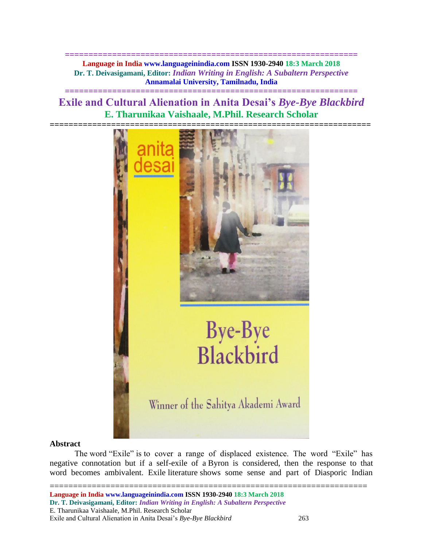**============================================================== Language in India www.languageinindia.com ISSN 1930-2940 18:3 March 2018 Dr. T. Deivasigamani, Editor:** *Indian Writing in English: A Subaltern Perspective* **Annamalai University, Tamilnadu, India**

# **Exile and Cultural Alienation in Anita Desai's** *Bye-Bye Blackbird* **E. Tharunikaa Vaishaale, M.Phil. Research Scholar**

**==============================================================**



## **Abstract**

The word "Exile" is to cover a range of displaced existence. The word "Exile" has negative connotation but if a self-exile of a Byron is considered, then the response to that word becomes ambivalent. Exile literature shows some sense and part of Diasporic Indian

==================================================================== **Language in India www.languageinindia.com ISSN 1930-2940 18:3 March 2018 Dr. T. Deivasigamani, Editor:** *Indian Writing in English: A Subaltern Perspective* E. Tharunikaa Vaishaale, M.Phil. Research Scholar Exile and Cultural Alienation in Anita Desai's *Bye-Bye Blackbird* 263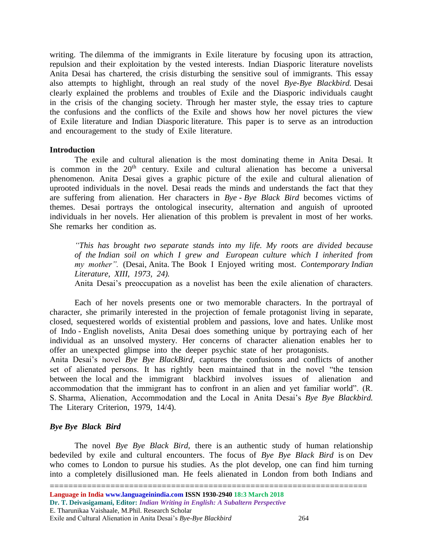writing. The dilemma of the immigrants in Exile literature by focusing upon its attraction, repulsion and their exploitation by the vested interests. Indian Diasporic literature novelists Anita Desai has chartered, the crisis disturbing the sensitive soul of immigrants. This essay also attempts to highlight, through an real study of the novel *Bye-Bye Blackbird.* Desai clearly explained the problems and troubles of Exile and the Diasporic individuals caught in the crisis of the changing society. Through her master style, the essay tries to capture the confusions and the conflicts of the Exile and shows how her novel pictures the view of Exile literature and Indian Diasporic literature. This paper is to serve as an introduction and encouragement to the study of Exile literature.

#### **Introduction**

The exile and cultural alienation is the most dominating theme in Anita Desai. It is common in the  $20<sup>th</sup>$  century. Exile and cultural alienation has become a universal phenomenon. Anita Desai gives a graphic picture of the exile and cultural alienation of uprooted individuals in the novel. Desai reads the minds and understands the fact that they are suffering from alienation. Her characters in *Bye - Bye Black Bird* becomes victims of themes. Desai portrays the ontological insecurity, alternation and anguish of uprooted individuals in her novels. Her alienation of this problem is prevalent in most of her works. She remarks her condition as.

*"This has brought two separate stands into my life. My roots are divided because of the Indian soil on which I grew and European culture which I inherited from my mother".* (Desai, Anita. The Book I Enjoyed writing most. *Contemporary Indian Literature, XIII, 1973, 24).*

Anita Desai's preoccupation as a novelist has been the exile alienation of characters.

Each of her novels presents one or two memorable characters. In the portrayal of character, she primarily interested in the projection of female protagonist living in separate, closed, sequestered worlds of existential problem and passions, love and hates. Unlike most of Indo - English novelists, Anita Desai does something unique by portraying each of her individual as an unsolved mystery. Her concerns of character alienation enables her to offer an unexpected glimpse into the deeper psychic state of her protagonists.

Anita Desai's novel *Bye Bye BlackBird,* captures the confusions and conflicts of another set of alienated persons. It has rightly been maintained that in the novel "the tension between the local and the immigrant blackbird involves issues of alienation and accommodation that the immigrant has to confront in an alien and yet familiar world". (R. S. Sharma, Alienation, Accommodation and the Local in Anita Desai's *Bye Bye Blackbird.* The Literary Criterion, 1979, 14/4).

## *Bye Bye Black Bird*

The novel *Bye Bye Black Bird,* there is an authentic study of human relationship bedeviled by exile and cultural encounters. The focus of *Bye Bye Black Bird* is on Dev who comes to London to pursue his studies. As the plot develop, one can find him turning into a completely disillusioned man. He feels alienated in London from both Indians and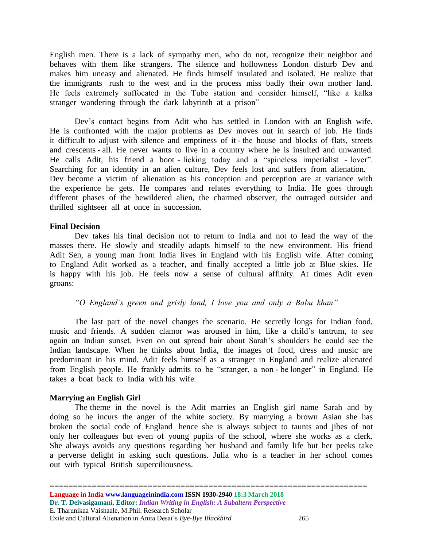English men. There is a lack of sympathy men, who do not, recognize their neighbor and behaves with them like strangers. The silence and hollowness London disturb Dev and makes him uneasy and alienated. He finds himself insulated and isolated. He realize that the immigrants rush to the west and in the process miss badly their own mother land. He feels extremely suffocated in the Tube station and consider himself, "like a kafka stranger wandering through the dark labyrinth at a prison"

Dev's contact begins from Adit who has settled in London with an English wife. He is confronted with the major problems as Dev moves out in search of job. He finds it difficult to adjust with silence and emptiness of it - the house and blocks of flats, streets and crescents - all. He never wants to live in a country where he is insulted and unwanted. He calls Adit, his friend a boot - licking today and a "spineless imperialist - lover". Searching for an identity in an alien culture, Dev feels lost and suffers from alienation. Dev become a victim of alienation as his conception and perception are at variance with the experience he gets. He compares and relates everything to India. He goes through different phases of the bewildered alien, the charmed observer, the outraged outsider and thrilled sightseer all at once in succession.

#### **Final Decision**

Dev takes his final decision not to return to India and not to lead the way of the masses there. He slowly and steadily adapts himself to the new environment. His friend Adit Sen, a young man from India lives in England with his English wife. After coming to England Adit worked as a teacher, and finally accepted a little job at Blue skies. He is happy with his job. He feels now a sense of cultural affinity. At times Adit even groans:

## *"O England's green and grisly land, I love you and only a Babu khan"*

The last part of the novel changes the scenario. He secretly longs for Indian food, music and friends. A sudden clamor was aroused in him, like a child's tantrum, to see again an Indian sunset. Even on out spread hair about Sarah's shoulders he could see the Indian landscape. When he thinks about India, the images of food, dress and music are predominant in his mind. Adit feels himself as a stranger in England and realize alienated from English people. He frankly admits to be "stranger, a non - be longer" in England. He takes a boat back to India with his wife.

#### **Marrying an English Girl**

The theme in the novel is the Adit marries an English girl name Sarah and by doing so he incurs the anger of the white society. By marrying a brown Asian she has broken the social code of England hence she is always subject to taunts and jibes of not only her colleagues but even of young pupils of the school, where she works as a clerk. She always avoids any questions regarding her husband and family life but her peeks take a perverse delight in asking such questions. Julia who is a teacher in her school comes out with typical British superciliousness.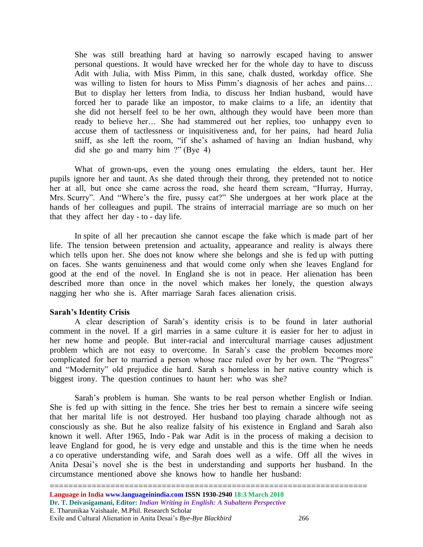She was still breathing hard at having so narrowly escaped having to answer personal questions. It would have wrecked her for the whole day to have to discuss Adit with Julia, with Miss Pimm, in this sane, chalk dusted, workday office. She was willing to listen for hours to Miss Pimm's diagnosis of her aches and pains... But to display her letters from India, to discuss her Indian husband, would have forced her to parade like an impostor, to make claims to a life, an identity that she did not herself feel to be her own, although they would have been more than ready to believe her… She had stammered out her replies, too unhappy even to accuse them of tactlessness or inquisitiveness and, for her pains, had heard Julia sniff, as she left the room, "if she's ashamed of having an Indian husband, why did she go and marry him ?" (Bye 4)

What of grown-ups, even the young ones emulating the elders, taunt her. Her pupils ignore her and taunt. As she dated through their throng, they pretended not to notice her at all, but once she came across the road, she heard them scream, "Hurray, Hurray, Mrs. Scurry". And "Where's the fire, pussy cat?" She undergoes at her work place at the hands of her colleagues and pupil. The strains of interracial marriage are so much on her that they affect her day - to - day life.

In spite of all her precaution she cannot escape the fake which is made part of her life. The tension between pretension and actuality, appearance and reality is always there which tells upon her. She does not know where she belongs and she is fed up with putting on faces. She wants genuineness and that would come only when she leaves England for good at the end of the novel. In England she is not in peace. Her alienation has been described more than once in the novel which makes her lonely, the question always nagging her who she is. After marriage Sarah faces alienation crisis.

## **Sarah's Identity Crisis**

A clear description of Sarah's identity crisis is to be found in later authorial comment in the novel. If a girl marries in a same culture it is easier for her to adjust in her new home and people. But inter-racial and intercultural marriage causes adjustment problem which are not easy to overcome. In Sarah's case the problem becomes more complicated for her to married a person whose race ruled over by her own. The "Progress" and "Modernity" old prejudice die hard. Sarah s homeless in her native country which is biggest irony. The question continues to haunt her: who was she?

Sarah's problem is human. She wants to be real person whether English or Indian. She is fed up with sitting in the fence. She tries her best to remain a sincere wife seeing that her marital life is not destroyed. Her husband too playing charade although not as consciously as she. But he also realize falsity of his existence in England and Sarah also known it well. After 1965, Indo - Pak war Adit is in the process of making a decision to leave England for good, he is very edge and unstable and this is the time when he needs a co operative understanding wife, and Sarah does well as a wife. Off all the wives in Anita Desai's novel she is the best in understanding and supports her husband. In the circumstance mentioned above she knows how to handle her husband: